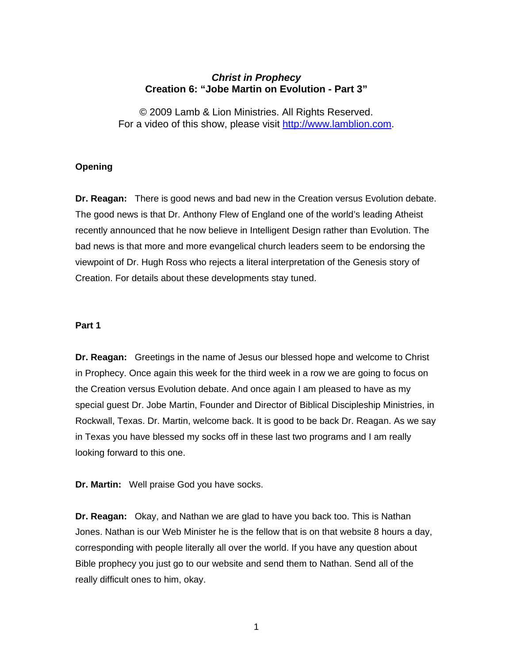# *Christ in Prophecy*  **Creation 6: "Jobe Martin on Evolution - Part 3"**

© 2009 Lamb & Lion Ministries. All Rights Reserved. For a video of this show, please visit [http://www.lamblion.com](http://www.lamblion.com/).

## **Opening**

**Dr. Reagan:** There is good news and bad new in the Creation versus Evolution debate. The good news is that Dr. Anthony Flew of England one of the world's leading Atheist recently announced that he now believe in Intelligent Design rather than Evolution. The bad news is that more and more evangelical church leaders seem to be endorsing the viewpoint of Dr. Hugh Ross who rejects a literal interpretation of the Genesis story of Creation. For details about these developments stay tuned.

#### **Part 1**

**Dr. Reagan:** Greetings in the name of Jesus our blessed hope and welcome to Christ in Prophecy. Once again this week for the third week in a row we are going to focus on the Creation versus Evolution debate. And once again I am pleased to have as my special guest Dr. Jobe Martin, Founder and Director of Biblical Discipleship Ministries, in Rockwall, Texas. Dr. Martin, welcome back. It is good to be back Dr. Reagan. As we say in Texas you have blessed my socks off in these last two programs and I am really looking forward to this one.

**Dr. Martin:** Well praise God you have socks.

**Dr. Reagan:** Okay, and Nathan we are glad to have you back too. This is Nathan Jones. Nathan is our Web Minister he is the fellow that is on that website 8 hours a day, corresponding with people literally all over the world. If you have any question about Bible prophecy you just go to our website and send them to Nathan. Send all of the really difficult ones to him, okay.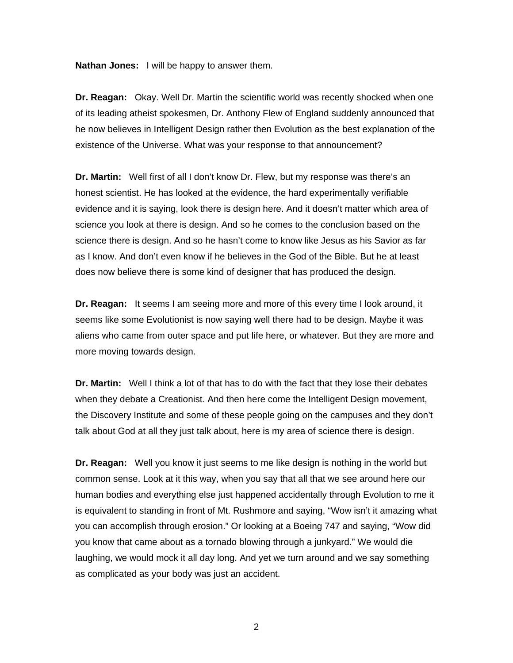**Nathan Jones:** I will be happy to answer them.

**Dr. Reagan:** Okay. Well Dr. Martin the scientific world was recently shocked when one of its leading atheist spokesmen, Dr. Anthony Flew of England suddenly announced that he now believes in Intelligent Design rather then Evolution as the best explanation of the existence of the Universe. What was your response to that announcement?

**Dr. Martin:** Well first of all I don't know Dr. Flew, but my response was there's an honest scientist. He has looked at the evidence, the hard experimentally verifiable evidence and it is saying, look there is design here. And it doesn't matter which area of science you look at there is design. And so he comes to the conclusion based on the science there is design. And so he hasn't come to know like Jesus as his Savior as far as I know. And don't even know if he believes in the God of the Bible. But he at least does now believe there is some kind of designer that has produced the design.

**Dr. Reagan:** It seems I am seeing more and more of this every time I look around, it seems like some Evolutionist is now saying well there had to be design. Maybe it was aliens who came from outer space and put life here, or whatever. But they are more and more moving towards design.

**Dr. Martin:** Well I think a lot of that has to do with the fact that they lose their debates when they debate a Creationist. And then here come the Intelligent Design movement, the Discovery Institute and some of these people going on the campuses and they don't talk about God at all they just talk about, here is my area of science there is design.

**Dr. Reagan:** Well you know it just seems to me like design is nothing in the world but common sense. Look at it this way, when you say that all that we see around here our human bodies and everything else just happened accidentally through Evolution to me it is equivalent to standing in front of Mt. Rushmore and saying, "Wow isn't it amazing what you can accomplish through erosion." Or looking at a Boeing 747 and saying, "Wow did you know that came about as a tornado blowing through a junkyard." We would die laughing, we would mock it all day long. And yet we turn around and we say something as complicated as your body was just an accident.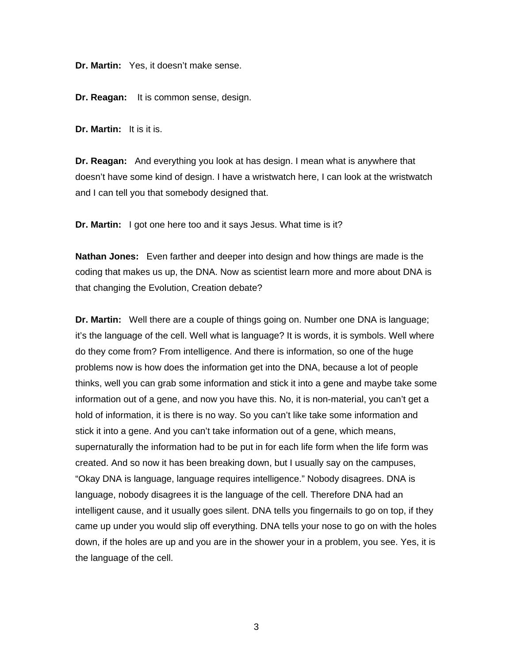**Dr. Martin:** Yes, it doesn't make sense.

**Dr. Reagan:** It is common sense, design.

**Dr. Martin:** It is it is.

**Dr. Reagan:** And everything you look at has design. I mean what is anywhere that doesn't have some kind of design. I have a wristwatch here, I can look at the wristwatch and I can tell you that somebody designed that.

**Dr. Martin:** I got one here too and it says Jesus. What time is it?

**Nathan Jones:** Even farther and deeper into design and how things are made is the coding that makes us up, the DNA. Now as scientist learn more and more about DNA is that changing the Evolution, Creation debate?

**Dr. Martin:** Well there are a couple of things going on. Number one DNA is language; it's the language of the cell. Well what is language? It is words, it is symbols. Well where do they come from? From intelligence. And there is information, so one of the huge problems now is how does the information get into the DNA, because a lot of people thinks, well you can grab some information and stick it into a gene and maybe take some information out of a gene, and now you have this. No, it is non-material, you can't get a hold of information, it is there is no way. So you can't like take some information and stick it into a gene. And you can't take information out of a gene, which means, supernaturally the information had to be put in for each life form when the life form was created. And so now it has been breaking down, but I usually say on the campuses, "Okay DNA is language, language requires intelligence." Nobody disagrees. DNA is language, nobody disagrees it is the language of the cell. Therefore DNA had an intelligent cause, and it usually goes silent. DNA tells you fingernails to go on top, if they came up under you would slip off everything. DNA tells your nose to go on with the holes down, if the holes are up and you are in the shower your in a problem, you see. Yes, it is the language of the cell.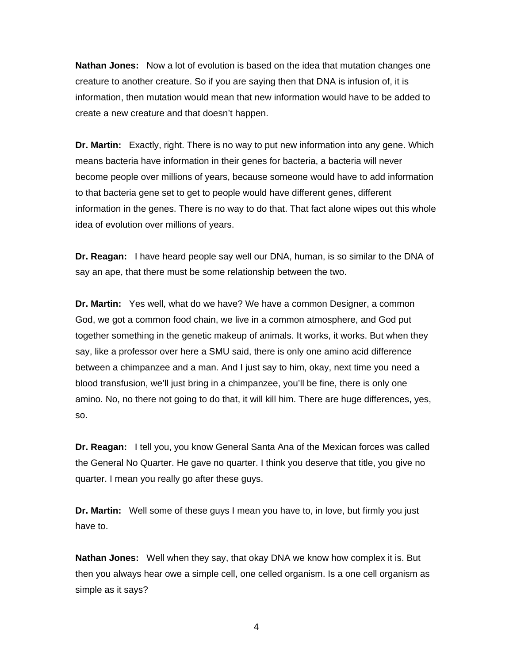**Nathan Jones:** Now a lot of evolution is based on the idea that mutation changes one creature to another creature. So if you are saying then that DNA is infusion of, it is information, then mutation would mean that new information would have to be added to create a new creature and that doesn't happen.

**Dr. Martin:** Exactly, right. There is no way to put new information into any gene. Which means bacteria have information in their genes for bacteria, a bacteria will never become people over millions of years, because someone would have to add information to that bacteria gene set to get to people would have different genes, different information in the genes. There is no way to do that. That fact alone wipes out this whole idea of evolution over millions of years.

**Dr. Reagan:** I have heard people say well our DNA, human, is so similar to the DNA of say an ape, that there must be some relationship between the two.

**Dr. Martin:** Yes well, what do we have? We have a common Designer, a common God, we got a common food chain, we live in a common atmosphere, and God put together something in the genetic makeup of animals. It works, it works. But when they say, like a professor over here a SMU said, there is only one amino acid difference between a chimpanzee and a man. And I just say to him, okay, next time you need a blood transfusion, we'll just bring in a chimpanzee, you'll be fine, there is only one amino. No, no there not going to do that, it will kill him. There are huge differences, yes, so.

**Dr. Reagan:** I tell you, you know General Santa Ana of the Mexican forces was called the General No Quarter. He gave no quarter. I think you deserve that title, you give no quarter. I mean you really go after these guys.

**Dr. Martin:** Well some of these guys I mean you have to, in love, but firmly you just have to.

**Nathan Jones:** Well when they say, that okay DNA we know how complex it is. But then you always hear owe a simple cell, one celled organism. Is a one cell organism as simple as it says?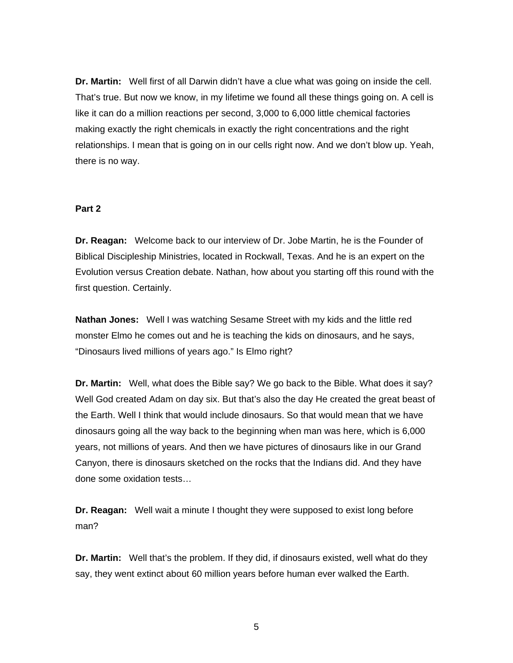**Dr. Martin:** Well first of all Darwin didn't have a clue what was going on inside the cell. That's true. But now we know, in my lifetime we found all these things going on. A cell is like it can do a million reactions per second, 3,000 to 6,000 little chemical factories making exactly the right chemicals in exactly the right concentrations and the right relationships. I mean that is going on in our cells right now. And we don't blow up. Yeah, there is no way.

## **Part 2**

**Dr. Reagan:** Welcome back to our interview of Dr. Jobe Martin, he is the Founder of Biblical Discipleship Ministries, located in Rockwall, Texas. And he is an expert on the Evolution versus Creation debate. Nathan, how about you starting off this round with the first question. Certainly.

**Nathan Jones:** Well I was watching Sesame Street with my kids and the little red monster Elmo he comes out and he is teaching the kids on dinosaurs, and he says, "Dinosaurs lived millions of years ago." Is Elmo right?

**Dr. Martin:** Well, what does the Bible say? We go back to the Bible. What does it say? Well God created Adam on day six. But that's also the day He created the great beast of the Earth. Well I think that would include dinosaurs. So that would mean that we have dinosaurs going all the way back to the beginning when man was here, which is 6,000 years, not millions of years. And then we have pictures of dinosaurs like in our Grand Canyon, there is dinosaurs sketched on the rocks that the Indians did. And they have done some oxidation tests…

**Dr. Reagan:** Well wait a minute I thought they were supposed to exist long before man?

**Dr. Martin:** Well that's the problem. If they did, if dinosaurs existed, well what do they say, they went extinct about 60 million years before human ever walked the Earth.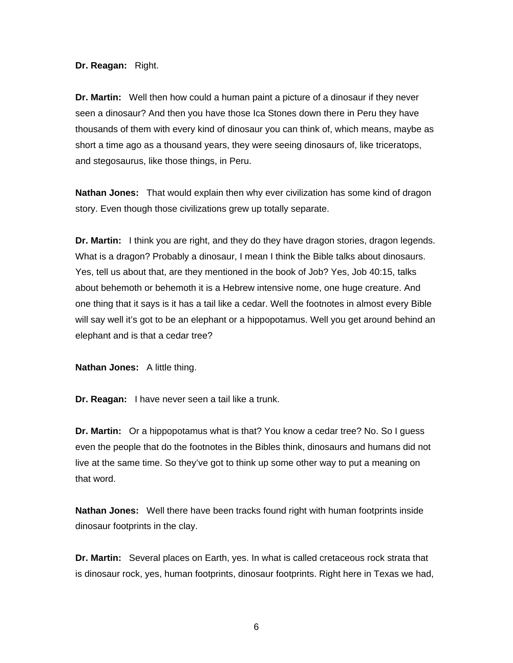**Dr. Reagan:** Right.

**Dr. Martin:** Well then how could a human paint a picture of a dinosaur if they never seen a dinosaur? And then you have those Ica Stones down there in Peru they have thousands of them with every kind of dinosaur you can think of, which means, maybe as short a time ago as a thousand years, they were seeing dinosaurs of, like triceratops, and stegosaurus, like those things, in Peru.

**Nathan Jones:** That would explain then why ever civilization has some kind of dragon story. Even though those civilizations grew up totally separate.

**Dr. Martin:** I think you are right, and they do they have dragon stories, dragon legends. What is a dragon? Probably a dinosaur, I mean I think the Bible talks about dinosaurs. Yes, tell us about that, are they mentioned in the book of Job? Yes, Job 40:15, talks about behemoth or behemoth it is a Hebrew intensive nome, one huge creature. And one thing that it says is it has a tail like a cedar. Well the footnotes in almost every Bible will say well it's got to be an elephant or a hippopotamus. Well you get around behind an elephant and is that a cedar tree?

**Nathan Jones:** A little thing.

**Dr. Reagan:** I have never seen a tail like a trunk.

**Dr. Martin:** Or a hippopotamus what is that? You know a cedar tree? No. So I guess even the people that do the footnotes in the Bibles think, dinosaurs and humans did not live at the same time. So they've got to think up some other way to put a meaning on that word.

**Nathan Jones:** Well there have been tracks found right with human footprints inside dinosaur footprints in the clay.

**Dr. Martin:** Several places on Earth, yes. In what is called cretaceous rock strata that is dinosaur rock, yes, human footprints, dinosaur footprints. Right here in Texas we had,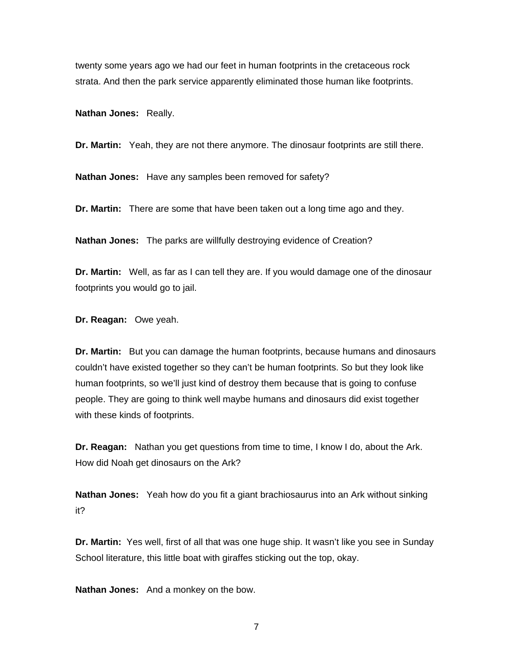twenty some years ago we had our feet in human footprints in the cretaceous rock strata. And then the park service apparently eliminated those human like footprints.

**Nathan Jones:** Really.

**Dr. Martin:** Yeah, they are not there anymore. The dinosaur footprints are still there.

**Nathan Jones:** Have any samples been removed for safety?

**Dr. Martin:** There are some that have been taken out a long time ago and they.

**Nathan Jones:** The parks are willfully destroying evidence of Creation?

**Dr. Martin:** Well, as far as I can tell they are. If you would damage one of the dinosaur footprints you would go to jail.

**Dr. Reagan:** Owe yeah.

**Dr. Martin:** But you can damage the human footprints, because humans and dinosaurs couldn't have existed together so they can't be human footprints. So but they look like human footprints, so we'll just kind of destroy them because that is going to confuse people. They are going to think well maybe humans and dinosaurs did exist together with these kinds of footprints.

**Dr. Reagan:** Nathan you get questions from time to time, I know I do, about the Ark. How did Noah get dinosaurs on the Ark?

**Nathan Jones:** Yeah how do you fit a giant brachiosaurus into an Ark without sinking it?

**Dr. Martin:** Yes well, first of all that was one huge ship. It wasn't like you see in Sunday School literature, this little boat with giraffes sticking out the top, okay.

**Nathan Jones:** And a monkey on the bow.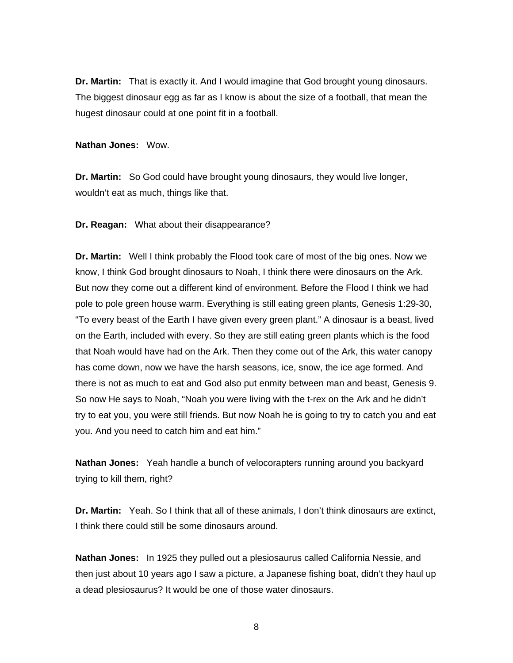**Dr. Martin:** That is exactly it. And I would imagine that God brought young dinosaurs. The biggest dinosaur egg as far as I know is about the size of a football, that mean the hugest dinosaur could at one point fit in a football.

**Nathan Jones:** Wow.

**Dr. Martin:** So God could have brought young dinosaurs, they would live longer, wouldn't eat as much, things like that.

**Dr. Reagan:** What about their disappearance?

**Dr. Martin:** Well I think probably the Flood took care of most of the big ones. Now we know, I think God brought dinosaurs to Noah, I think there were dinosaurs on the Ark. But now they come out a different kind of environment. Before the Flood I think we had pole to pole green house warm. Everything is still eating green plants, Genesis 1:29-30, "To every beast of the Earth I have given every green plant." A dinosaur is a beast, lived on the Earth, included with every. So they are still eating green plants which is the food that Noah would have had on the Ark. Then they come out of the Ark, this water canopy has come down, now we have the harsh seasons, ice, snow, the ice age formed. And there is not as much to eat and God also put enmity between man and beast, Genesis 9. So now He says to Noah, "Noah you were living with the t-rex on the Ark and he didn't try to eat you, you were still friends. But now Noah he is going to try to catch you and eat you. And you need to catch him and eat him."

**Nathan Jones:** Yeah handle a bunch of velocorapters running around you backyard trying to kill them, right?

**Dr. Martin:** Yeah. So I think that all of these animals, I don't think dinosaurs are extinct, I think there could still be some dinosaurs around.

**Nathan Jones:** In 1925 they pulled out a plesiosaurus called California Nessie, and then just about 10 years ago I saw a picture, a Japanese fishing boat, didn't they haul up a dead plesiosaurus? It would be one of those water dinosaurs.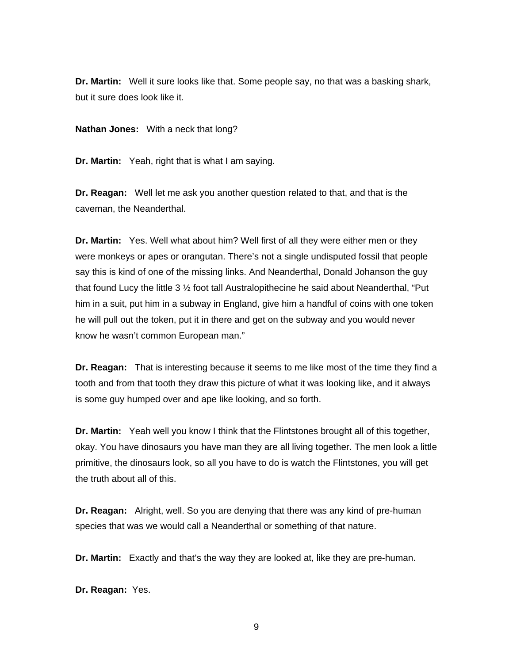**Dr. Martin:** Well it sure looks like that. Some people say, no that was a basking shark, but it sure does look like it.

**Nathan Jones:** With a neck that long?

**Dr. Martin:** Yeah, right that is what I am saying.

**Dr. Reagan:** Well let me ask you another question related to that, and that is the caveman, the Neanderthal.

**Dr. Martin:** Yes. Well what about him? Well first of all they were either men or they were monkeys or apes or orangutan. There's not a single undisputed fossil that people say this is kind of one of the missing links. And Neanderthal, Donald Johanson the guy that found Lucy the little  $3 \frac{1}{2}$  foot tall Australopithecine he said about Neanderthal, "Put him in a suit, put him in a subway in England, give him a handful of coins with one token he will pull out the token, put it in there and get on the subway and you would never know he wasn't common European man."

**Dr. Reagan:** That is interesting because it seems to me like most of the time they find a tooth and from that tooth they draw this picture of what it was looking like, and it always is some guy humped over and ape like looking, and so forth.

**Dr. Martin:** Yeah well you know I think that the Flintstones brought all of this together, okay. You have dinosaurs you have man they are all living together. The men look a little primitive, the dinosaurs look, so all you have to do is watch the Flintstones, you will get the truth about all of this.

**Dr. Reagan:** Alright, well. So you are denying that there was any kind of pre-human species that was we would call a Neanderthal or something of that nature.

**Dr. Martin:** Exactly and that's the way they are looked at, like they are pre-human.

**Dr. Reagan:** Yes.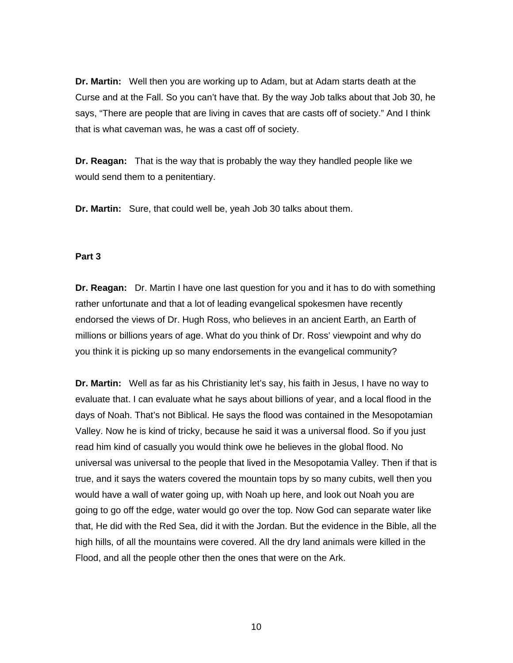**Dr. Martin:** Well then you are working up to Adam, but at Adam starts death at the Curse and at the Fall. So you can't have that. By the way Job talks about that Job 30, he says, "There are people that are living in caves that are casts off of society." And I think that is what caveman was, he was a cast off of society.

**Dr. Reagan:** That is the way that is probably the way they handled people like we would send them to a penitentiary.

**Dr. Martin:** Sure, that could well be, yeah Job 30 talks about them.

#### **Part 3**

**Dr. Reagan:** Dr. Martin I have one last question for you and it has to do with something rather unfortunate and that a lot of leading evangelical spokesmen have recently endorsed the views of Dr. Hugh Ross, who believes in an ancient Earth, an Earth of millions or billions years of age. What do you think of Dr. Ross' viewpoint and why do you think it is picking up so many endorsements in the evangelical community?

**Dr. Martin:** Well as far as his Christianity let's say, his faith in Jesus, I have no way to evaluate that. I can evaluate what he says about billions of year, and a local flood in the days of Noah. That's not Biblical. He says the flood was contained in the Mesopotamian Valley. Now he is kind of tricky, because he said it was a universal flood. So if you just read him kind of casually you would think owe he believes in the global flood. No universal was universal to the people that lived in the Mesopotamia Valley. Then if that is true, and it says the waters covered the mountain tops by so many cubits, well then you would have a wall of water going up, with Noah up here, and look out Noah you are going to go off the edge, water would go over the top. Now God can separate water like that, He did with the Red Sea, did it with the Jordan. But the evidence in the Bible, all the high hills, of all the mountains were covered. All the dry land animals were killed in the Flood, and all the people other then the ones that were on the Ark.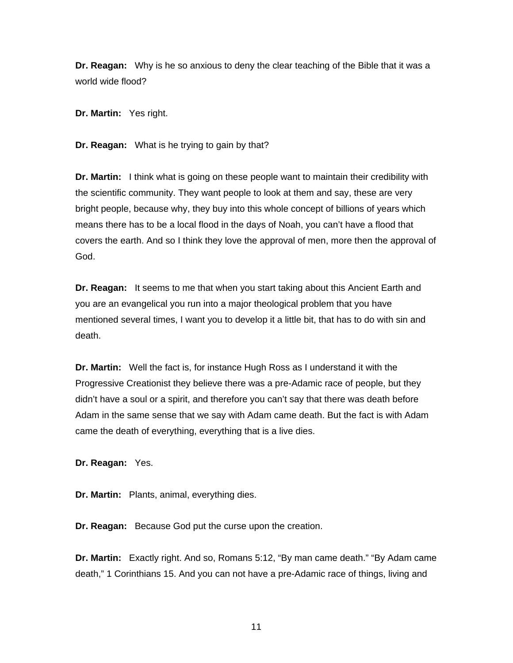**Dr. Reagan:** Why is he so anxious to deny the clear teaching of the Bible that it was a world wide flood?

**Dr. Martin:** Yes right.

**Dr. Reagan:** What is he trying to gain by that?

**Dr. Martin:** I think what is going on these people want to maintain their credibility with the scientific community. They want people to look at them and say, these are very bright people, because why, they buy into this whole concept of billions of years which means there has to be a local flood in the days of Noah, you can't have a flood that covers the earth. And so I think they love the approval of men, more then the approval of God.

**Dr. Reagan:** It seems to me that when you start taking about this Ancient Earth and you are an evangelical you run into a major theological problem that you have mentioned several times, I want you to develop it a little bit, that has to do with sin and death.

**Dr. Martin:** Well the fact is, for instance Hugh Ross as I understand it with the Progressive Creationist they believe there was a pre-Adamic race of people, but they didn't have a soul or a spirit, and therefore you can't say that there was death before Adam in the same sense that we say with Adam came death. But the fact is with Adam came the death of everything, everything that is a live dies.

**Dr. Reagan:** Yes.

**Dr. Martin:** Plants, animal, everything dies.

**Dr. Reagan:** Because God put the curse upon the creation.

**Dr. Martin:** Exactly right. And so, Romans 5:12, "By man came death." "By Adam came death," 1 Corinthians 15. And you can not have a pre-Adamic race of things, living and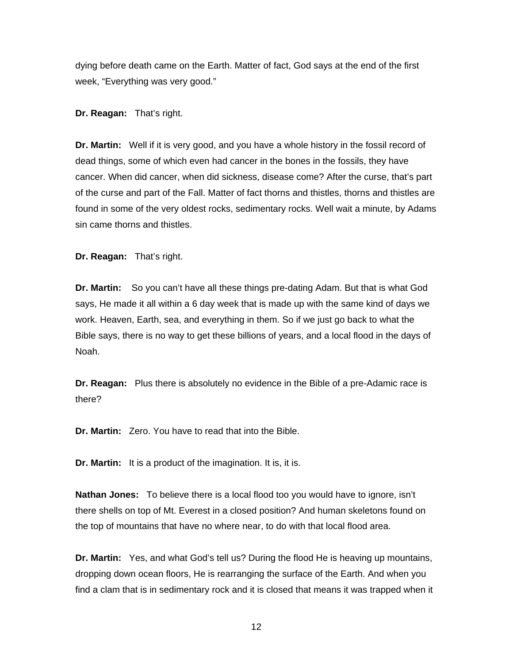dying before death came on the Earth. Matter of fact, God says at the end of the first week, "Everything was very good."

#### **Dr. Reagan:** That's right.

**Dr. Martin:** Well if it is very good, and you have a whole history in the fossil record of dead things, some of which even had cancer in the bones in the fossils, they have cancer. When did cancer, when did sickness, disease come? After the curse, that's part of the curse and part of the Fall. Matter of fact thorns and thistles, thorns and thistles are found in some of the very oldest rocks, sedimentary rocks. Well wait a minute, by Adams sin came thorns and thistles.

**Dr. Reagan:** That's right.

**Dr. Martin:** So you can't have all these things pre-dating Adam. But that is what God says, He made it all within a 6 day week that is made up with the same kind of days we work. Heaven, Earth, sea, and everything in them. So if we just go back to what the Bible says, there is no way to get these billions of years, and a local flood in the days of Noah.

**Dr. Reagan:** Plus there is absolutely no evidence in the Bible of a pre-Adamic race is there?

**Dr. Martin:** Zero. You have to read that into the Bible.

**Dr. Martin:** It is a product of the imagination. It is, it is.

**Nathan Jones:** To believe there is a local flood too you would have to ignore, isn't there shells on top of Mt. Everest in a closed position? And human skeletons found on the top of mountains that have no where near, to do with that local flood area.

**Dr. Martin:** Yes, and what God's tell us? During the flood He is heaving up mountains, dropping down ocean floors, He is rearranging the surface of the Earth. And when you find a clam that is in sedimentary rock and it is closed that means it was trapped when it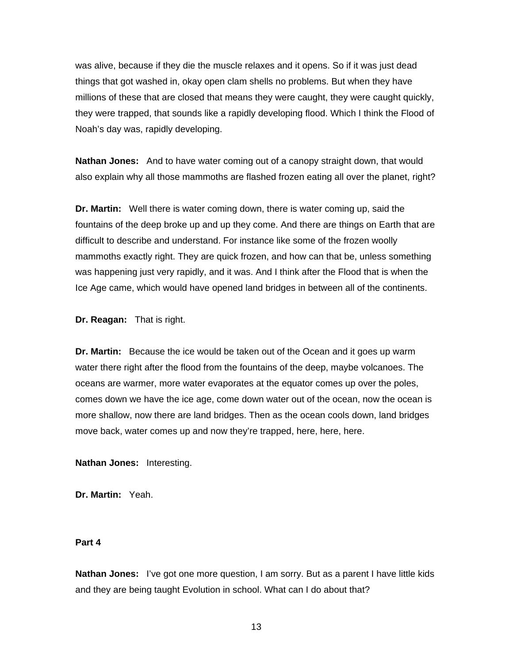was alive, because if they die the muscle relaxes and it opens. So if it was just dead things that got washed in, okay open clam shells no problems. But when they have millions of these that are closed that means they were caught, they were caught quickly, they were trapped, that sounds like a rapidly developing flood. Which I think the Flood of Noah's day was, rapidly developing.

**Nathan Jones:** And to have water coming out of a canopy straight down, that would also explain why all those mammoths are flashed frozen eating all over the planet, right?

**Dr. Martin:** Well there is water coming down, there is water coming up, said the fountains of the deep broke up and up they come. And there are things on Earth that are difficult to describe and understand. For instance like some of the frozen woolly mammoths exactly right. They are quick frozen, and how can that be, unless something was happening just very rapidly, and it was. And I think after the Flood that is when the Ice Age came, which would have opened land bridges in between all of the continents.

**Dr. Reagan:** That is right.

**Dr. Martin:** Because the ice would be taken out of the Ocean and it goes up warm water there right after the flood from the fountains of the deep, maybe volcanoes. The oceans are warmer, more water evaporates at the equator comes up over the poles, comes down we have the ice age, come down water out of the ocean, now the ocean is more shallow, now there are land bridges. Then as the ocean cools down, land bridges move back, water comes up and now they're trapped, here, here, here.

**Nathan Jones:** Interesting.

**Dr. Martin:** Yeah.

#### **Part 4**

**Nathan Jones:** I've got one more question, I am sorry. But as a parent I have little kids and they are being taught Evolution in school. What can I do about that?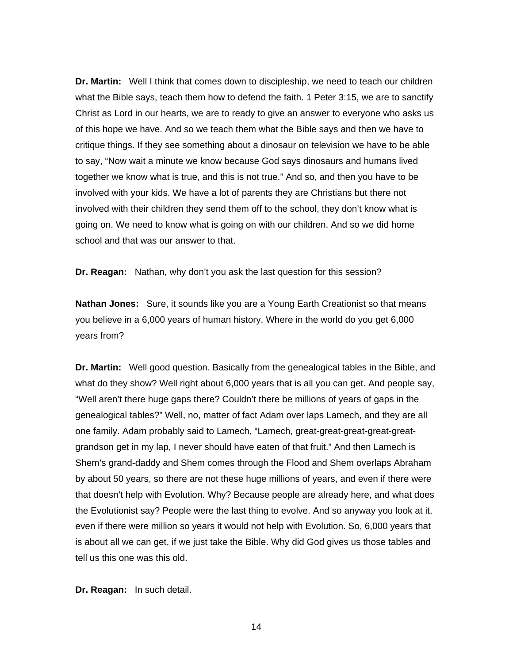**Dr. Martin:** Well I think that comes down to discipleship, we need to teach our children what the Bible says, teach them how to defend the faith. 1 Peter 3:15, we are to sanctify Christ as Lord in our hearts, we are to ready to give an answer to everyone who asks us of this hope we have. And so we teach them what the Bible says and then we have to critique things. If they see something about a dinosaur on television we have to be able to say, "Now wait a minute we know because God says dinosaurs and humans lived together we know what is true, and this is not true." And so, and then you have to be involved with your kids. We have a lot of parents they are Christians but there not involved with their children they send them off to the school, they don't know what is going on. We need to know what is going on with our children. And so we did home school and that was our answer to that.

**Dr. Reagan:** Nathan, why don't you ask the last question for this session?

**Nathan Jones:** Sure, it sounds like you are a Young Earth Creationist so that means you believe in a 6,000 years of human history. Where in the world do you get 6,000 years from?

**Dr. Martin:** Well good question. Basically from the genealogical tables in the Bible, and what do they show? Well right about 6,000 years that is all you can get. And people say, "Well aren't there huge gaps there? Couldn't there be millions of years of gaps in the genealogical tables?" Well, no, matter of fact Adam over laps Lamech, and they are all one family. Adam probably said to Lamech, "Lamech, great-great-great-great-greatgrandson get in my lap, I never should have eaten of that fruit." And then Lamech is Shem's grand-daddy and Shem comes through the Flood and Shem overlaps Abraham by about 50 years, so there are not these huge millions of years, and even if there were that doesn't help with Evolution. Why? Because people are already here, and what does the Evolutionist say? People were the last thing to evolve. And so anyway you look at it, even if there were million so years it would not help with Evolution. So, 6,000 years that is about all we can get, if we just take the Bible. Why did God gives us those tables and tell us this one was this old.

**Dr. Reagan:** In such detail.